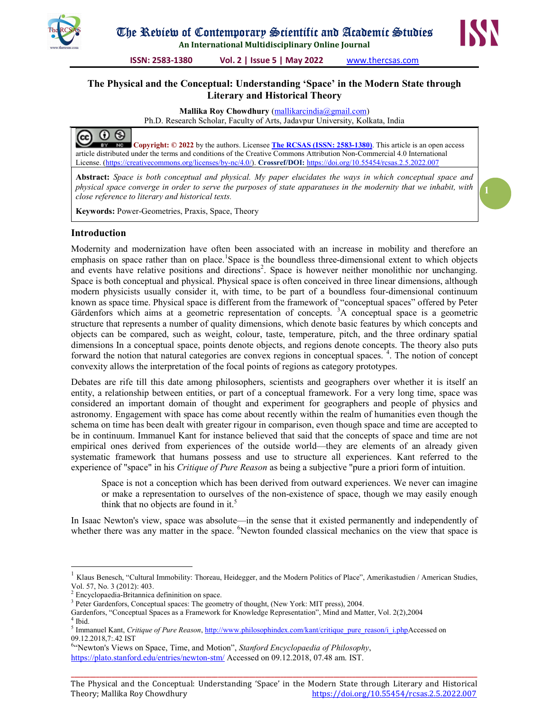

An International Multidisciplinary Online Journal

ISSN: 2583-1380 Vol. 2 | Issue 5 | May 2022 www.thercsas.com

## The Physical and the Conceptual: Understanding 'Space' in the Modern State through Literary and Historical Theory

Mallika Roy Chowdhury (mallikarcindia@gmail.com) Ph.D. Research Scholar, Faculty of Arts, Jadavpur University, Kolkata, India



Copyright: © 2022 by the authors. Licensee The RCSAS (ISSN: 2583-1380). This article is an open access article distributed under the terms and conditions of the Creative Commons Attribution Non-Commercial 4.0 International License. (https://creativecommons.org/licenses/by-nc/4.0/). Crossref/DOI: https://doi.org/10.55454/rcsas.2.5.2022.007

Abstract: Space is both conceptual and physical. My paper elucidates the ways in which conceptual space and physical space converge in order to serve the purposes of state apparatuses in the modernity that we inhabit, with close reference to literary and historical texts.

Keywords: Power-Geometries, Praxis, Space, Theory

## Introduction

Modernity and modernization have often been associated with an increase in mobility and therefore an emphasis on space rather than on place.<sup>1</sup>Space is the boundless three-dimensional extent to which objects and events have relative positions and directions<sup>2</sup>. Space is however neither monolithic nor unchanging. Space is both conceptual and physical. Physical space is often conceived in three linear dimensions, although modern physicists usually consider it, with time, to be part of a boundless four-dimensional continuum known as space time. Physical space is different from the framework of "conceptual spaces" offered by Peter Gärdenfors which aims at a geometric representation of concepts. <sup>3</sup>A conceptual space is a geometric structure that represents a number of quality dimensions, which denote basic features by which concepts and objects can be compared, such as weight, colour, taste, temperature, pitch, and the three ordinary spatial dimensions In a conceptual space, points denote objects, and regions denote concepts. The theory also puts forward the notion that natural categories are convex regions in conceptual spaces.<sup>4</sup>. The notion of concept convexity allows the interpretation of the focal points of regions as category prototypes.

Debates are rife till this date among philosophers, scientists and geographers over whether it is itself an entity, a relationship between entities, or part of a conceptual framework. For a very long time, space was considered an important domain of thought and experiment for geographers and people of physics and astronomy. Engagement with space has come about recently within the realm of humanities even though the schema on time has been dealt with greater rigour in comparison, even though space and time are accepted to be in continuum. Immanuel Kant for instance believed that said that the concepts of space and time are not empirical ones derived from experiences of the outside world—they are elements of an already given systematic framework that humans possess and use to structure all experiences. Kant referred to the experience of "space" in his *Critique of Pure Reason* as being a subjective "pure a priori form of intuition.

Space is not a conception which has been derived from outward experiences. We never can imagine or make a representation to ourselves of the non-existence of space, though we may easily enough think that no objects are found in it.<sup>5</sup>

In Isaac Newton's view, space was absolute—in the sense that it existed permanently and independently of whether there was any matter in the space. <sup>6</sup>Newton founded classical mechanics on the view that space is

 $\overline{a}$ 

<sup>1</sup> Klaus Benesch, "Cultural Immobility: Thoreau, Heidegger, and the Modern Politics of Place", Amerikastudien / American Studies, Vol. 57, No. 3 (2012): 403.

<sup>&</sup>lt;sup>2</sup> Encyclopaedia-Britannica defininition on space.

<sup>&</sup>lt;sup>3</sup> Peter Gardenfors, Conceptual spaces: The geometry of thought, (New York: MIT press), 2004.

Gardenfors, "Conceptual Spaces as a Framework for Knowledge Representation", Mind and Matter, Vol. 2(2),2004 4 Ibid.

<sup>&</sup>lt;sup>5</sup> Immanuel Kant, Critique of Pure Reason, http://www.philosophindex.com/kant/critique\_pure\_reason/i\_i.phpAccessed on 09.12.2018,7:.42 IST

<sup>&</sup>lt;sup>6.</sup> Newton's Views on Space, Time, and Motion", Stanford Encyclopaedia of Philosophy, https://plato.stanford.edu/entries/newton-stm/ Accessed on 09.12.2018, 07.48 am. IST.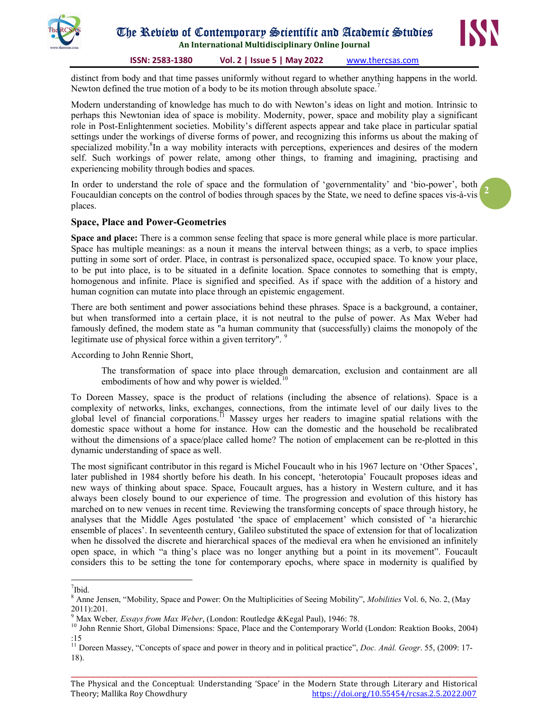



2

ISSN: 2583-1380 Vol. 2 | Issue 5 | May 2022 www.thercsas.com

distinct from body and that time passes uniformly without regard to whether anything happens in the world. Newton defined the true motion of a body to be its motion through absolute space.<sup>7</sup>

Modern understanding of knowledge has much to do with Newton's ideas on light and motion. Intrinsic to perhaps this Newtonian idea of space is mobility. Modernity, power, space and mobility play a significant role in Post-Enlightenment societies. Mobility's different aspects appear and take place in particular spatial settings under the workings of diverse forms of power, and recognizing this informs us about the making of specialized mobility.<sup>8</sup>In a way mobility interacts with perceptions, experiences and desires of the modern self. Such workings of power relate, among other things, to framing and imagining, practising and experiencing mobility through bodies and spaces.

In order to understand the role of space and the formulation of 'governmentality' and 'bio-power', both Foucauldian concepts on the control of bodies through spaces by the State, we need to define spaces vis-à-vis places.

### Space, Place and Power-Geometries

Space and place: There is a common sense feeling that space is more general while place is more particular. Space has multiple meanings: as a noun it means the interval between things; as a verb, to space implies putting in some sort of order. Place, in contrast is personalized space, occupied space. To know your place, to be put into place, is to be situated in a definite location. Space connotes to something that is empty, homogenous and infinite. Place is signified and specified. As if space with the addition of a history and human cognition can mutate into place through an epistemic engagement.

There are both sentiment and power associations behind these phrases. Space is a background, a container, but when transformed into a certain place, it is not neutral to the pulse of power. As Max Weber had famously defined, the modem state as "a human community that (successfully) claims the monopoly of the legitimate use of physical force within a given territory". <sup>9</sup>

According to John Rennie Short,

The transformation of space into place through demarcation, exclusion and containment are all embodiments of how and why power is wielded.<sup>10</sup>

To Doreen Massey, space is the product of relations (including the absence of relations). Space is a complexity of networks, links, exchanges, connections, from the intimate level of our daily lives to the global level of financial corporations.<sup>11</sup> Massey urges her readers to imagine spatial relations with the domestic space without a home for instance. How can the domestic and the household be recalibrated without the dimensions of a space/place called home? The notion of emplacement can be re-plotted in this dynamic understanding of space as well.

The most significant contributor in this regard is Michel Foucault who in his 1967 lecture on 'Other Spaces', later published in 1984 shortly before his death. In his concept, 'heterotopia' Foucault proposes ideas and new ways of thinking about space. Space, Foucault argues, has a history in Western culture, and it has always been closely bound to our experience of time. The progression and evolution of this history has marched on to new venues in recent time. Reviewing the transforming concepts of space through history, he analyses that the Middle Ages postulated 'the space of emplacement' which consisted of 'a hierarchic ensemble of places'. In seventeenth century, Galileo substituted the space of extension for that of localization when he dissolved the discrete and hierarchical spaces of the medieval era when he envisioned an infinitely open space, in which "a thing's place was no longer anything but a point in its movement". Foucault considers this to be setting the tone for contemporary epochs, where space in modernity is qualified by

 $\overline{a}$ <sup>7</sup>Ibid.

 $8$  Anne Jensen, "Mobility, Space and Power: On the Multiplicities of Seeing Mobility", *Mobilities* Vol. 6, No. 2, (May 2011):201.

 $^{9}$  Max Weber, *Essays from Max Weber*, (London: Routledge & Kegal Paul), 1946: 78.

<sup>&</sup>lt;sup>10</sup> John Rennie Short, Global Dimensions: Space, Place and the Contemporary World (London: Reaktion Books, 2004) :15

 $11$  Doreen Massey, "Concepts of space and power in theory and in political practice", *Doc. Anàl. Geogr.* 55, (2009: 17-18).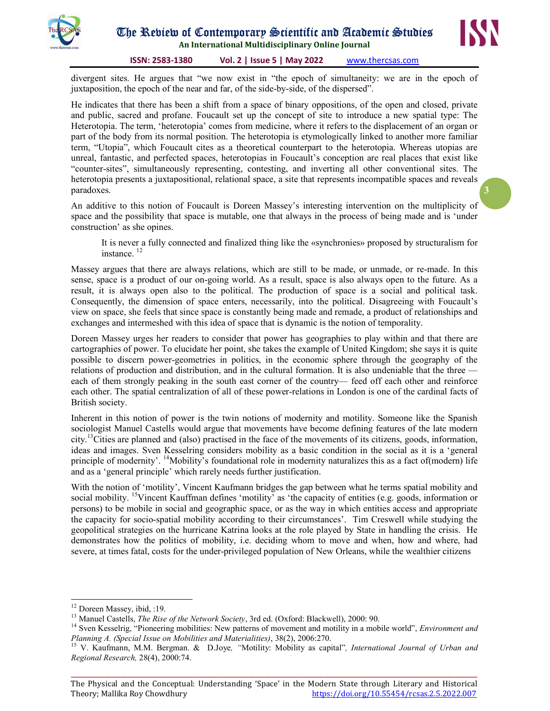

An International Multidisciplinary Online Journal



3

ISSN: 2583-1380 Vol. 2 | Issue 5 | May 2022 www.thercsas.com

divergent sites. He argues that "we now exist in "the epoch of simultaneity: we are in the epoch of juxtaposition, the epoch of the near and far, of the side-by-side, of the dispersed".

He indicates that there has been a shift from a space of binary oppositions, of the open and closed, private and public, sacred and profane. Foucault set up the concept of site to introduce a new spatial type: The Heterotopia. The term, 'heterotopia' comes from medicine, where it refers to the displacement of an organ or part of the body from its normal position. The heterotopia is etymologically linked to another more familiar term, "Utopia", which Foucault cites as a theoretical counterpart to the heterotopia. Whereas utopias are unreal, fantastic, and perfected spaces, heterotopias in Foucault's conception are real places that exist like "counter-sites", simultaneously representing, contesting, and inverting all other conventional sites. The heterotopia presents a juxtapositional, relational space, a site that represents incompatible spaces and reveals paradoxes.

An additive to this notion of Foucault is Doreen Massey's interesting intervention on the multiplicity of space and the possibility that space is mutable, one that always in the process of being made and is 'under construction' as she opines.

It is never a fully connected and finalized thing like the «synchronies» proposed by structuralism for instance.<sup>12</sup>

Massey argues that there are always relations, which are still to be made, or unmade, or re-made. In this sense, space is a product of our on-going world. As a result, space is also always open to the future. As a result, it is always open also to the political. The production of space is a social and political task. Consequently, the dimension of space enters, necessarily, into the political. Disagreeing with Foucault's view on space, she feels that since space is constantly being made and remade, a product of relationships and exchanges and intermeshed with this idea of space that is dynamic is the notion of temporality.

Doreen Massey urges her readers to consider that power has geographies to play within and that there are cartographies of power. To elucidate her point, she takes the example of United Kingdom; she says it is quite possible to discern power-geometries in politics, in the economic sphere through the geography of the relations of production and distribution, and in the cultural formation. It is also undeniable that the three each of them strongly peaking in the south east corner of the country— feed off each other and reinforce each other. The spatial centralization of all of these power-relations in London is one of the cardinal facts of British society.

Inherent in this notion of power is the twin notions of modernity and motility. Someone like the Spanish sociologist Manuel Castells would argue that movements have become defining features of the late modern city.<sup>13</sup>Cities are planned and (also) practised in the face of the movements of its citizens, goods, information, ideas and images. Sven Kesselring considers mobility as a basic condition in the social as it is a 'general principle of modernity'. <sup>14</sup>Mobility's foundational role in modernity naturalizes this as a fact of modern) life and as a 'general principle' which rarely needs further justification.

With the notion of 'motility', Vincent Kaufmann bridges the gap between what he terms spatial mobility and social mobility. <sup>15</sup>Vincent Kauffman defines 'motility' as 'the capacity of entities (e.g. goods, information or persons) to be mobile in social and geographic space, or as the way in which entities access and appropriate the capacity for socio-spatial mobility according to their circumstances'. Tim Creswell while studying the geopolitical strategies on the hurricane Katrina looks at the role played by State in handling the crisis. He demonstrates how the politics of mobility, i.e. deciding whom to move and when, how and where, had severe, at times fatal, costs for the under-privileged population of New Orleans, while the wealthier citizens

-

\_\_\_\_\_\_\_\_\_\_\_\_\_\_\_\_\_\_\_\_\_\_\_\_\_\_\_\_\_\_\_\_\_\_\_\_\_\_\_\_\_\_\_\_\_\_\_\_\_\_\_\_\_\_\_\_\_\_\_\_\_\_\_\_\_\_\_\_\_\_\_\_\_\_\_\_\_\_\_\_\_\_\_\_\_\_\_\_\_\_\_\_\_\_\_\_\_\_\_\_\_\_\_\_\_\_\_\_\_\_\_\_\_\_\_\_\_\_\_\_\_\_\_\_\_\_\_\_\_\_ The Physical and the Conceptual: Understanding 'Space' in the Modern State through Literary and Historical Theory; Mallika Roy Chowdhury https://doi.org/10.55454/rcsas.2.5.2022.007

<sup>&</sup>lt;sup>12</sup> Doreen Massey, ibid, :19.

<sup>&</sup>lt;sup>13</sup> Manuel Castells, *The Rise of the Network Society*, 3rd ed. (Oxford: Blackwell), 2000: 90.

<sup>&</sup>lt;sup>14</sup> Sven Kesselrig, "Pioneering mobilities: New patterns of movement and motility in a mobile world", *Environment and* Planning A. (Special Issue on Mobilities and Materialities), 38(2), 2006:270.

<sup>&</sup>lt;sup>15</sup> V. Kaufmann, M.M. Bergman. & D.Joye, "Motility: Mobility as capital", International Journal of Urban and Regional Research, 28(4), 2000:74.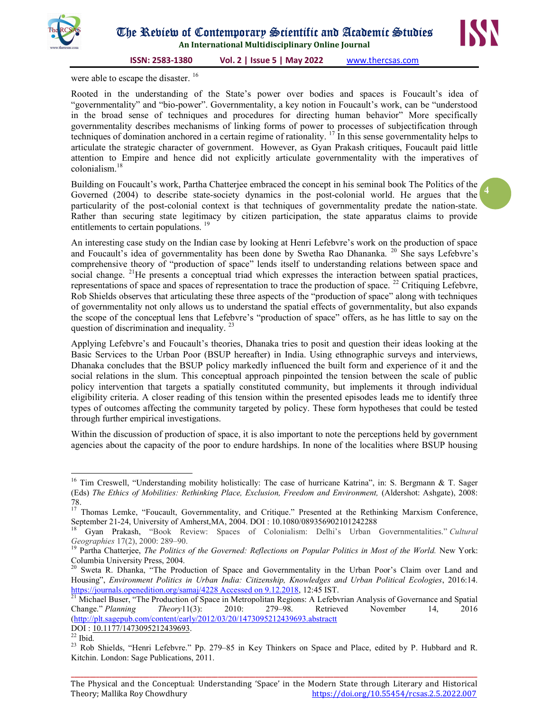



ISSN: 2583-1380 Vol. 2 | Issue 5 | May 2022 www.thercsas.com

were able to escape the disaster.<sup>16</sup>

Rooted in the understanding of the State's power over bodies and spaces is Foucault's idea of "governmentality" and "bio-power". Governmentality, a key notion in Foucault's work, can be "understood in the broad sense of techniques and procedures for directing human behavior" More specifically governmentality describes mechanisms of linking forms of power to processes of subjectification through techniques of domination anchored in a certain regime of rationality. <sup>17</sup> In this sense governmentality helps to articulate the strategic character of government. However, as Gyan Prakash critiques, Foucault paid little attention to Empire and hence did not explicitly articulate governmentality with the imperatives of colonialism.<sup>18</sup>

Building on Foucault's work, Partha Chatterjee embraced the concept in his seminal book The Politics of the Governed (2004) to describe state-society dynamics in the post-colonial world. He argues that the particularity of the post-colonial context is that techniques of governmentality predate the nation-state. Rather than securing state legitimacy by citizen participation, the state apparatus claims to provide entitlements to certain populations.<sup>19</sup>

An interesting case study on the Indian case by looking at Henri Lefebvre's work on the production of space and Foucault's idea of governmentality has been done by Swetha Rao Dhananka. <sup>20</sup> She says Lefebvre's comprehensive theory of "production of space" lends itself to understanding relations between space and social change. <sup>21</sup>He presents a conceptual triad which expresses the interaction between spatial practices, representations of space and spaces of representation to trace the production of space.  $^{22}$  Critiquing Lefebvre, Rob Shields observes that articulating these three aspects of the "production of space" along with techniques of governmentality not only allows us to understand the spatial effects of governmentality, but also expands the scope of the conceptual lens that Lefebvre's "production of space" offers, as he has little to say on the question of discrimination and inequality.<sup>23</sup>

Applying Lefebvre's and Foucault's theories, Dhanaka tries to posit and question their ideas looking at the Basic Services to the Urban Poor (BSUP hereafter) in India. Using ethnographic surveys and interviews, Dhanaka concludes that the BSUP policy markedly influenced the built form and experience of it and the social relations in the slum. This conceptual approach pinpointed the tension between the scale of public policy intervention that targets a spatially constituted community, but implements it through individual eligibility criteria. A closer reading of this tension within the presented episodes leads me to identify three types of outcomes affecting the community targeted by policy. These form hypotheses that could be tested through further empirical investigations.

Within the discussion of production of space, it is also important to note the perceptions held by government agencies about the capacity of the poor to endure hardships. In none of the localities where BSUP housing

 $\overline{a}$ 

4

<sup>&</sup>lt;sup>16</sup> Tim Creswell, "Understanding mobility holistically: The case of hurricane Katrina", in: S. Bergmann & T. Sager (Eds) The Ethics of Mobilities: Rethinking Place, Exclusion, Freedom and Environment, (Aldershot: Ashgate), 2008: 78.

<sup>&</sup>lt;sup>17</sup> Thomas Lemke, "Foucault, Governmentality, and Critique." Presented at the Rethinking Marxism Conference, September 21-24, University of Amherst,MA, 2004. DOI : 10.1080/089356902101242288

<sup>18</sup> Gyan Prakash, "Book Review: Spaces of Colonialism: Delhi's Urban Governmentalities." Cultural Geographies 17(2), 2000: 289–90.

Partha Chatterjee, The Politics of the Governed: Reflections on Popular Politics in Most of the World. New York: Columbia University Press, 2004.

Sweta R. Dhanka, "The Production of Space and Governmentality in the Urban Poor's Claim over Land and Housing", Environment Politics in Urban India: Citizenship, Knowledges and Urban Political Ecologies, 2016:14. https://journals.openedition.org/samaj/4228 Accessed on 9.12.2018, 12:45 IST.

<sup>&</sup>lt;sup>21</sup> Michael Buser, "The Production of Space in Metropolitan Regions: A Lefebvrian Analysis of Governance and Spatial Change." Planning Theory11(3): 2010: 279–98. Retrieved November 14, 2016 (http://plt.sagepub.com/content/early/2012/03/20/1473095212439693.abstractt

DOI : 10.1177/1473095212439693.

 $22$  Ibid.

<sup>&</sup>lt;sup>23</sup> Rob Shields, "Henri Lefebvre." Pp. 279–85 in Key Thinkers on Space and Place, edited by P. Hubbard and R. Kitchin. London: Sage Publications, 2011.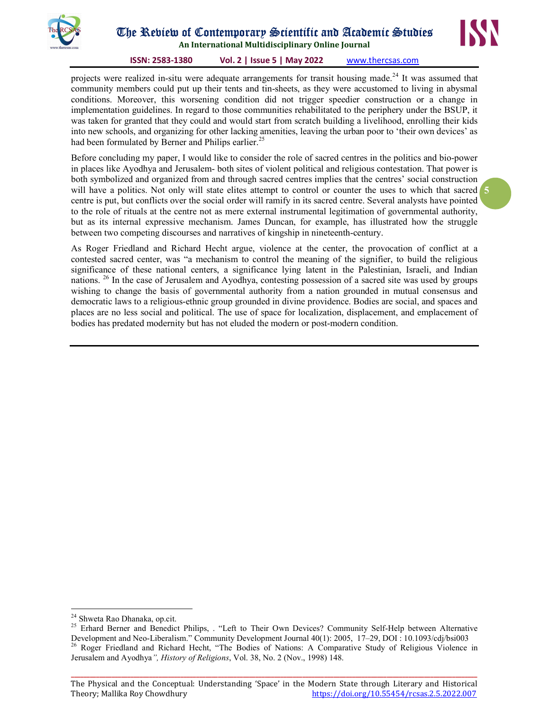

# The Review of Contemporary Scientific and Academic Studies

An International Multidisciplinary Online Journal

#### ISSN: 2583-1380 Vol. 2 | Issue 5 | May 2022 www.thercsas.com

projects were realized in-situ were adequate arrangements for transit housing made.<sup>24</sup> It was assumed that community members could put up their tents and tin-sheets, as they were accustomed to living in abysmal conditions. Moreover, this worsening condition did not trigger speedier construction or a change in implementation guidelines. In regard to those communities rehabilitated to the periphery under the BSUP, it was taken for granted that they could and would start from scratch building a livelihood, enrolling their kids into new schools, and organizing for other lacking amenities, leaving the urban poor to 'their own devices' as had been formulated by Berner and Philips earlier.<sup>2</sup>

will have a politics. Not only will state elites attempt to control or counter the uses to which that sacred 5 Before concluding my paper, I would like to consider the role of sacred centres in the politics and bio-power in places like Ayodhya and Jerusalem- both sites of violent political and religious contestation. That power is both symbolized and organized from and through sacred centres implies that the centres' social construction centre is put, but conflicts over the social order will ramify in its sacred centre. Several analysts have pointed to the role of rituals at the centre not as mere external instrumental legitimation of governmental authority, but as its internal expressive mechanism. James Duncan, for example, has illustrated how the struggle between two competing discourses and narratives of kingship in nineteenth-century.

As Roger Friedland and Richard Hecht argue, violence at the center, the provocation of conflict at a contested sacred center, was "a mechanism to control the meaning of the signifier, to build the religious significance of these national centers, a significance lying latent in the Palestinian, Israeli, and Indian nations. <sup>26</sup> In the case of Jerusalem and Ayodhya, contesting possession of a sacred site was used by groups wishing to change the basis of governmental authority from a nation grounded in mutual consensus and democratic laws to a religious-ethnic group grounded in divine providence. Bodies are social, and spaces and places are no less social and political. The use of space for localization, displacement, and emplacement of bodies has predated modernity but has not eluded the modern or post-modern condition.

-

<sup>&</sup>lt;sup>24</sup> Shweta Rao Dhanaka, op.cit.

<sup>&</sup>lt;sup>25</sup> Erhard Berner and Benedict Philips, . "Left to Their Own Devices? Community Self-Help between Alternative Development and Neo-Liberalism." Community Development Journal 40(1): 2005, 17–29, DOI : 10.1093/cdj/bsi003 <sup>26</sup> Roger Friedland and Richard Hecht, "The Bodies of Nations: A Comparative Study of Religious Violence in Jerusalem and Ayodhya", History of Religions, Vol. 38, No. 2 (Nov., 1998) 148.